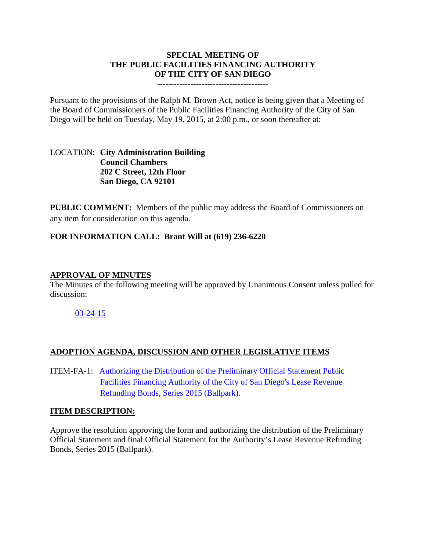## **SPECIAL MEETING OF THE PUBLIC FACILITIES FINANCING AUTHORITY OF THE CITY OF SAN DIEGO**

**----------------------------------------**

Pursuant to the provisions of the Ralph M. Brown Act, notice is being given that a Meeting of the Board of Commissioners of the Public Facilities Financing Authority of the City of San Diego will be held on Tuesday, May 19, 2015, at 2:00 p.m., or soon thereafter at:

#### LOCATION: **City Administration Building Council Chambers 202 C Street, 12th Floor San Diego, CA 92101**

**PUBLIC COMMENT:** Members of the public may address the Board of Commissioners on any item for consideration on this agenda.

### **FOR INFORMATION CALL: Brant Will at (619) 236-6220**

### **APPROVAL OF MINUTES**

The Minutes of the following meeting will be approved by Unanimous Consent unless pulled for discussion:

### [03-24-15](http://www.sandiego.gov/city-clerk/pdf/pffa/pffaminutes150324.pdf)

# **ADOPTION AGENDA, DISCUSSION AND OTHER LEGISLATIVE ITEMS**

ITEM-FA-1: [Authorizing the Distribution of the Preliminary Official Statement Public](http://www.sandiego.gov/city-clerk/pdf/pffa/pffaexhibit150519.pdf)  [Facilities Financing Authority of the City of San Diego's Lease Revenue](http://www.sandiego.gov/city-clerk/pdf/pffa/pffaexhibit150519.pdf)  [Refunding Bonds, Series 2015 \(Ballpark\).](http://www.sandiego.gov/city-clerk/pdf/pffa/pffaexhibit150519.pdf)

#### **ITEM DESCRIPTION:**

Approve the resolution approving the form and authorizing the distribution of the Preliminary Official Statement and final Official Statement for the Authority's Lease Revenue Refunding Bonds, Series 2015 (Ballpark).